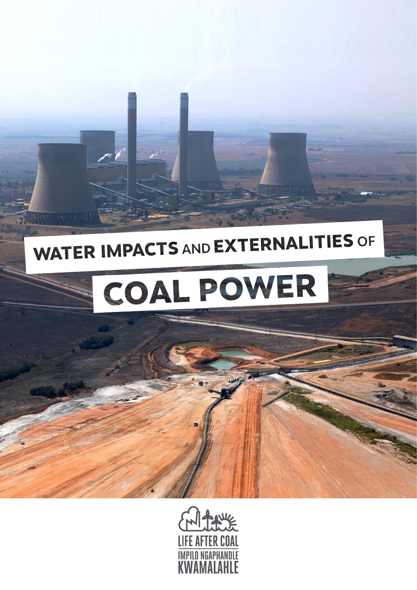# **WATER IMPACTS AND EXTERNALITIES OF**



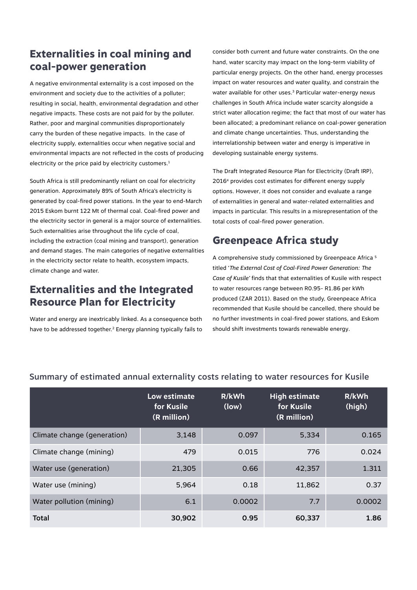# **Externalities in coal mining and coal-power generation**

A negative environmental externality is a cost imposed on the environment and society due to the activities of a polluter; resulting in social, health, environmental degradation and other negative impacts. These costs are not paid for by the polluter. Rather, poor and marginal communities disproportionately carry the burden of these negative impacts. In the case of electricity supply, externalities occur when negative social and environmental impacts are not reflected in the costs of producing electricity or the price paid by electricity customers.<sup>1</sup>

South Africa is still predominantly reliant on coal for electricity generation. Approximately 89% of South Africa's electricity is generated by coal-fired power stations. In the year to end-March 2015 Eskom burnt 122 Mt of thermal coal. Coal-fired power and the electricity sector in general is a major source of externalities. Such externalities arise throughout the life cycle of coal, including the extraction (coal mining and transport), generation and demand stages. The main categories of negative externalities in the electricity sector relate to health, ecosystem impacts, climate change and water.

## **Externalities and the Integrated Resource Plan for Electricity**

Water and energy are inextricably linked. As a consequence both have to be addressed together.2 Energy planning typically fails to

consider both current and future water constraints. On the one hand, water scarcity may impact on the long-term viability of particular energy projects. On the other hand, energy processes impact on water resources and water quality, and constrain the water available for other uses.<sup>3</sup> Particular water-energy nexus challenges in South Africa include water scarcity alongside a strict water allocation regime; the fact that most of our water has been allocated; a predominant reliance on coal-power generation and climate change uncertainties. Thus, understanding the interrelationship between water and energy is imperative in developing sustainable energy systems.

The Draft Integrated Resource Plan for Electricity (Draft IRP), 20164 provides cost estimates for different energy supply options. However, it does not consider and evaluate a range of externalities in general and water-related externalities and impacts in particular. This results in a misrepresentation of the total costs of coal-fired power generation.

## **Greenpeace Africa study**

A comprehensive study commissioned by Greenpeace Africa 5 titled '*The External Cost of Coal-Fired Power Generation: The Case of Kusile'* finds that that externalities of Kusile with respect to water resources range between R0.95- R1.86 per kWh produced (ZAR 2011). Based on the study, Greenpeace Africa recommended that Kusile should be cancelled, there should be no further investments in coal-fired power stations, and Eskom should shift investments towards renewable energy.

|                             | Low estimate<br>for Kusile<br>(R million) | R/kWh<br>(low) | <b>High estimate</b><br>for Kusile<br>(R million) | R/kWh<br>(high) |
|-----------------------------|-------------------------------------------|----------------|---------------------------------------------------|-----------------|
| Climate change (generation) | 3,148                                     | 0.097          | 5,334                                             | 0.165           |
| Climate change (mining)     | 479                                       | 0.015          | 776                                               | 0.024           |
| Water use (generation)      | 21,305                                    | 0.66           | 42,357                                            | 1.311           |
| Water use (mining)          | 5,964                                     | 0.18           | 11,862                                            | 0.37            |
| Water pollution (mining)    | 6.1                                       | 0.0002         | 7.7                                               | 0.0002          |
| <b>Total</b>                | 30,902                                    | 0.95           | 60,337                                            | 1.86            |

#### Summary of estimated annual externality costs relating to water resources for Kusile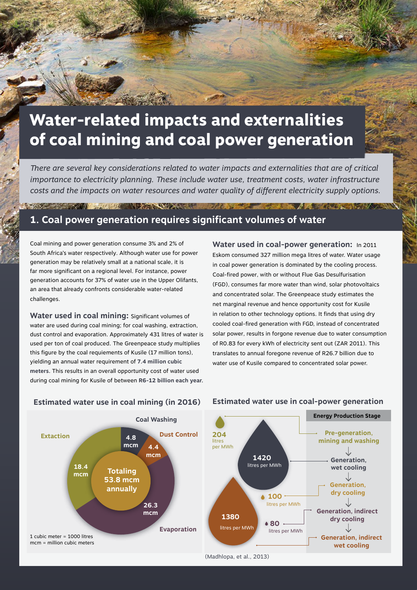# **Water-related impacts and externalities of coal mining and coal power generation**

*There are several key considerations related to water impacts and externalities that are of critical importance to electricity planning. These include water use, treatment costs, water infrastructure costs and the impacts on water resources and water quality of different electricity supply options.* 

# **1. Coal power generation requires significant volumes of water**

Coal mining and power generation consume 3% and 2% of South Africa's water respectively. Although water use for power generation may be relatively small at a national scale, it is far more significant on a regional level. For instance, power generation accounts for 37% of water use in the Upper Olifants, an area that already confronts considerable water-related challenges.

**CONTRACTOR** CONTRACTOR CONTRACTOR

**Water used in coal mining:** Significant volumes of water are used during coal mining; for coal washing, extraction, dust control and evaporation. Approximately 431 litres of water is used per ton of coal produced. The Greenpeace study multiplies this figure by the coal requiements of Kusile (17 million tons), yielding an annual water requirement of **7.4 million cubic meters.** This results in an overall opportunity cost of water used during coal mining for Kusile of between **R6-12 billion each year.** **Water used in coal-power generation:** In 2011 Eskom consumed 327 million mega litres of water. Water usage in coal power generation is dominated by the cooling process. Coal-fired power, with or without Flue Gas Desulfurisation (FGD), consumes far more water than wind, solar photovoltaics and concentrated solar. The Greenpeace study estimates the net marginal revenue and hence opportunity cost for Kusile in relation to other technology options. It finds that using dry cooled coal-fired generation with FGD, instead of concentrated solar power, results in forgone revenue due to water consumption of R0.83 for every kWh of electricity sent out (ZAR 2011). This translates to annual foregone revenue of R26.7 billion due to water use of Kusile compared to concentrated solar power.

#### **Estimated water use in coal mining (in 2016)**

**Totaling 53.8 mcm annually**

**18.4 mcm**

**Extaction**

1 cubic meter = 1000 litres mcm = million cubic meters

**4.8 mcm 4.4** 

> **26.3 mcm**



#### **Estimated water use in coal-power generation**

(Madhlopa, et al., 2013)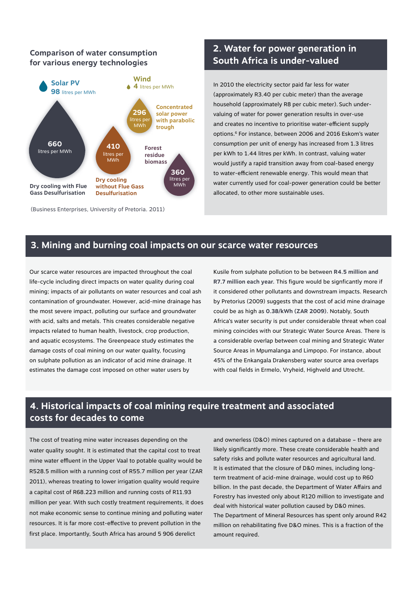# **for various energy technologies**



(Business Enterprises, University of Pretoria. 2011)

#### **2. Water for power generation in South Africa is under-valued Comparison of water consumption**

In 2010 the electricity sector paid far less for water (approximately R3.40 per cubic meter) than the average household (approximately R8 per cubic meter). Such undervaluing of water for power generation results in over-use and creates no incentive to prioritise water-efficient supply options.6 For instance, between 2006 and 2016 Eskom's water consumption per unit of energy has increased from 1.3 litres per kWh to 1.44 litres per kWh. In contrast, valuing water would justify a rapid transition away from coal-based energy to water-efficient renewable energy. This would mean that water currently used for coal-power generation could be better allocated, to other more sustainable uses.

#### **3. Mining and burning coal impacts on our scarce water resources**

Our scarce water resources are impacted throughout the coal life-cycle including direct impacts on water quality during coal mining; impacts of air pollutants on water resources and coal ash contamination of groundwater. However, acid-mine drainage has the most severe impact, polluting our surface and groundwater with acid, salts and metals. This creates considerable negative impacts related to human health, livestock, crop production, and aquatic ecosystems. The Greenpeace study estimates the damage costs of coal mining on our water quality, focusing on sulphate pollution as an indicator of acid mine drainage. It estimates the damage cost imposed on other water users by

Kusile from sulphate pollution to be between **R4.5 million and R7.7 million each year.** This figure would be signficantly more if it considered other pollutants and downstream impacts. Research by Pretorius (2009) suggests that the cost of acid mine drainage could be as high as **0.38/kWh (ZAR 2009).** Notably, South Africa's water security is put under considerable threat when coal mining coincides with our Strategic Water Source Areas. There is a considerable overlap between coal mining and Strategic Water Source Areas in Mpumalanga and Limpopo. For instance, about 45% of the Enkangala Drakensberg water source area overlaps with coal fields in Ermelo, Vryheid, Highveld and Utrecht.

## **4. Historical impacts of coal mining require treatment and associated costs for decades to come**

The cost of treating mine water increases depending on the water quality sought. It is estimated that the capital cost to treat mine water effluent in the Upper Vaal to potable quality would be R528.5 million with a running cost of R55.7 million per year (ZAR 2011), whereas treating to lower irrigation quality would require a capital cost of R68.223 million and running costs of R11.93 million per year. With such costly treatment requirements, it does not make economic sense to continue mining and polluting water resources. It is far more cost-effective to prevent pollution in the first place. Importantly, South Africa has around 5 906 derelict

and ownerless (D&O) mines captured on a database – there are likely significantly more. These create considerable health and safety risks and pollute water resources and agricultural land. It is estimated that the closure of D&0 mines, including longterm treatment of acid-mine drainage, would cost up to R60 billion. In the past decade, the Department of Water Affairs and Forestry has invested only about R120 million to investigate and deal with historical water pollution caused by D&0 mines. The Department of Mineral Resources has spent only around R42 million on rehabilitating five D&O mines. This is a fraction of the amount required.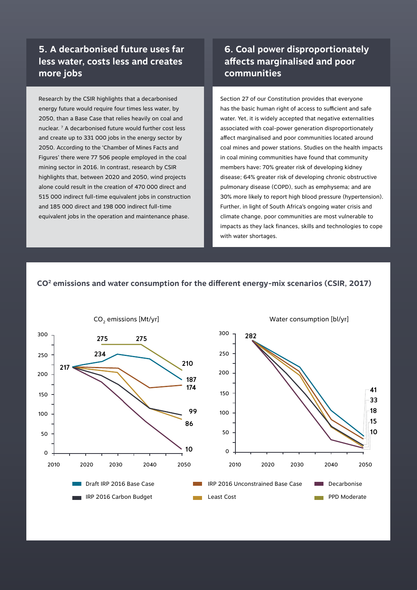#### **5. A decarbonised future uses far less water, costs less and creates more jobs**

Research by the CSIR highlights that a decarbonised energy future would require four times less water, by 2050, than a Base Case that relies heavily on coal and nuclear. 7 A decarbonised future would further cost less and create up to 331 000 jobs in the energy sector by 2050. According to the 'Chamber of Mines Facts and Figures' there were 77 506 people employed in the coal mining sector in 2016. In contrast, research by CSIR highlights that, between 2020 and 2050, wind projects alone could result in the creation of 470 000 direct and 515 000 indirect full-time equivalent jobs in construction and 185 000 direct and 198 000 indirect full-time equivalent jobs in the operation and maintenance phase.

## **6. Coal power disproportionately affects marginalised and poor communities**

Section 27 of our Constitution provides that everyone has the basic human right of access to sufficient and safe water. Yet, it is widely accepted that negative externalities associated with coal-power generation disproportionately affect marginalised and poor communities located around coal mines and power stations. Studies on the health impacts in coal mining communities have found that community members have: 70% greater risk of developing kidney disease; 64% greater risk of developing chronic obstructive pulmonary disease (COPD), such as emphysema; and are 30% more likely to report high blood pressure (hypertension). Further, in light of South Africa's ongoing water crisis and climate change, poor communities are most vulnerable to impacts as they lack finances, skills and technologies to cope with water shortages.

#### **CO2 emissions and water consumption for the different energy-mix scenarios (CSIR, 2017)**